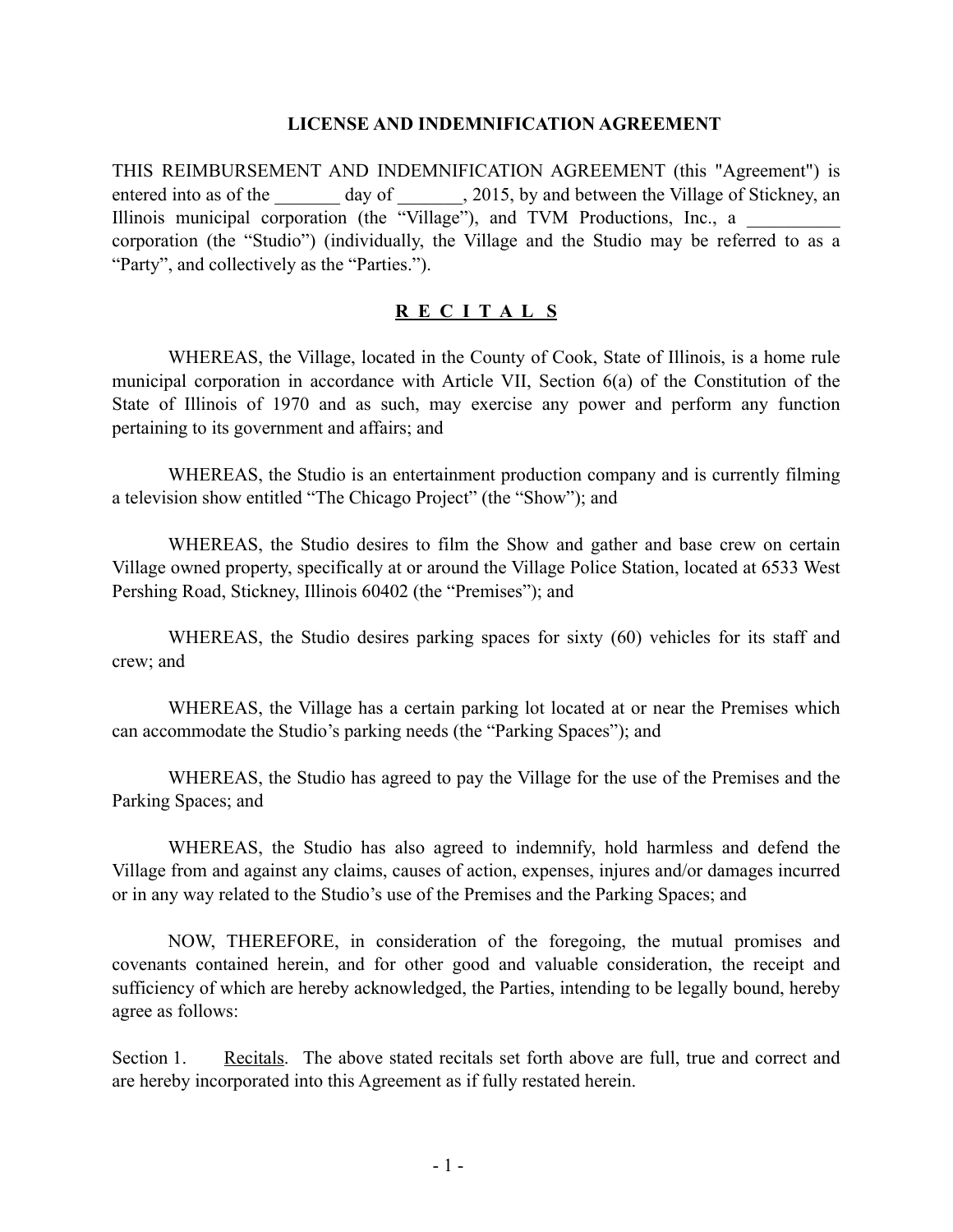## **LICENSE AND INDEMNIFICATION AGREEMENT**

THIS REIMBURSEMENT AND INDEMNIFICATION AGREEMENT (this "Agreement") is entered into as of the day of  $\qquad \qquad$ , 2015, by and between the Village of Stickney, an Illinois municipal corporation (the "Village"), and TVM Productions, Inc., a corporation (the "Studio") (individually, the Village and the Studio may be referred to as a "Party", and collectively as the "Parties.").

## **R E C I T A L S**

WHEREAS, the Village, located in the County of Cook, State of Illinois, is a home rule municipal corporation in accordance with Article VII, Section 6(a) of the Constitution of the State of Illinois of 1970 and as such, may exercise any power and perform any function pertaining to its government and affairs; and

WHEREAS, the Studio is an entertainment production company and is currently filming a television show entitled "The Chicago Project" (the "Show"); and

WHEREAS, the Studio desires to film the Show and gather and base crew on certain Village owned property, specifically at or around the Village Police Station, located at 6533 West Pershing Road, Stickney, Illinois 60402 (the "Premises"); and

WHEREAS, the Studio desires parking spaces for sixty (60) vehicles for its staff and crew; and

WHEREAS, the Village has a certain parking lot located at or near the Premises which can accommodate the Studio's parking needs (the "Parking Spaces"); and

WHEREAS, the Studio has agreed to pay the Village for the use of the Premises and the Parking Spaces; and

WHEREAS, the Studio has also agreed to indemnify, hold harmless and defend the Village from and against any claims, causes of action, expenses, injures and/or damages incurred or in any way related to the Studio's use of the Premises and the Parking Spaces; and

NOW, THEREFORE, in consideration of the foregoing, the mutual promises and covenants contained herein, and for other good and valuable consideration, the receipt and sufficiency of which are hereby acknowledged, the Parties, intending to be legally bound, hereby agree as follows:

Section 1. Recitals. The above stated recitals set forth above are full, true and correct and are hereby incorporated into this Agreement as if fully restated herein.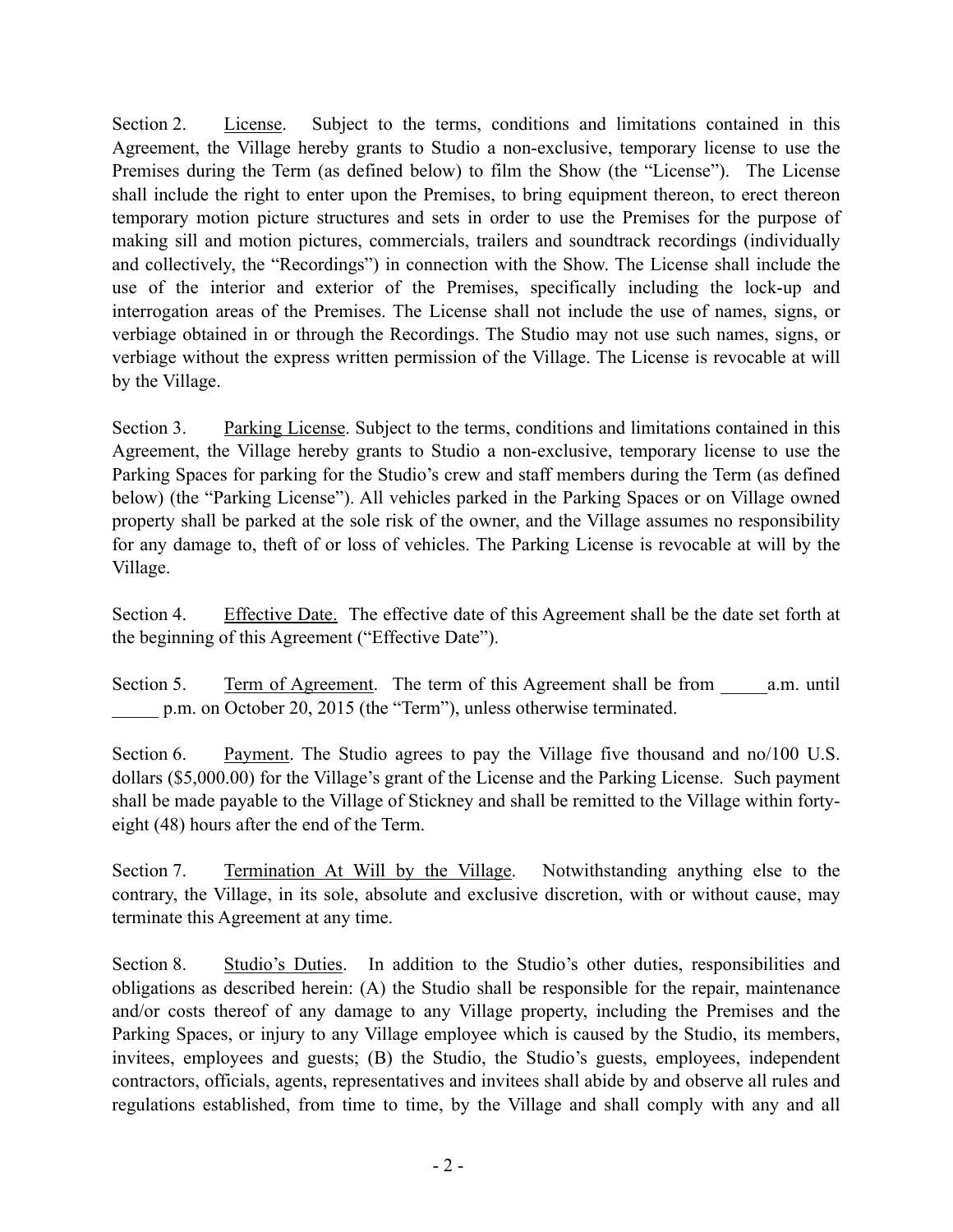Section 2. License. Subject to the terms, conditions and limitations contained in this Agreement, the Village hereby grants to Studio a non-exclusive, temporary license to use the Premises during the Term (as defined below) to film the Show (the "License"). The License shall include the right to enter upon the Premises, to bring equipment thereon, to erect thereon temporary motion picture structures and sets in order to use the Premises for the purpose of making sill and motion pictures, commercials, trailers and soundtrack recordings (individually and collectively, the "Recordings") in connection with the Show. The License shall include the use of the interior and exterior of the Premises, specifically including the lock-up and interrogation areas of the Premises. The License shall not include the use of names, signs, or verbiage obtained in or through the Recordings. The Studio may not use such names, signs, or verbiage without the express written permission of the Village. The License is revocable at will by the Village.

Section 3. Parking License. Subject to the terms, conditions and limitations contained in this Agreement, the Village hereby grants to Studio a non-exclusive, temporary license to use the Parking Spaces for parking for the Studio's crew and staff members during the Term (as defined below) (the "Parking License"). All vehicles parked in the Parking Spaces or on Village owned property shall be parked at the sole risk of the owner, and the Village assumes no responsibility for any damage to, theft of or loss of vehicles. The Parking License is revocable at will by the Village.

Section 4. Effective Date. The effective date of this Agreement shall be the date set forth at the beginning of this Agreement ("Effective Date").

Section 5. Term of Agreement. The term of this Agreement shall be from a.m. until p.m. on October 20, 2015 (the "Term"), unless otherwise terminated.

Section 6. Payment. The Studio agrees to pay the Village five thousand and no/100 U.S. dollars (\$5,000.00) for the Village's grant of the License and the Parking License. Such payment shall be made payable to the Village of Stickney and shall be remitted to the Village within fortyeight (48) hours after the end of the Term.

Section 7. Termination At Will by the Village. Notwithstanding anything else to the contrary, the Village, in its sole, absolute and exclusive discretion, with or without cause, may terminate this Agreement at any time.

Section 8. Studio's Duties. In addition to the Studio's other duties, responsibilities and obligations as described herein: (A) the Studio shall be responsible for the repair, maintenance and/or costs thereof of any damage to any Village property, including the Premises and the Parking Spaces, or injury to any Village employee which is caused by the Studio, its members, invitees, employees and guests; (B) the Studio, the Studio's guests, employees, independent contractors, officials, agents, representatives and invitees shall abide by and observe all rules and regulations established, from time to time, by the Village and shall comply with any and all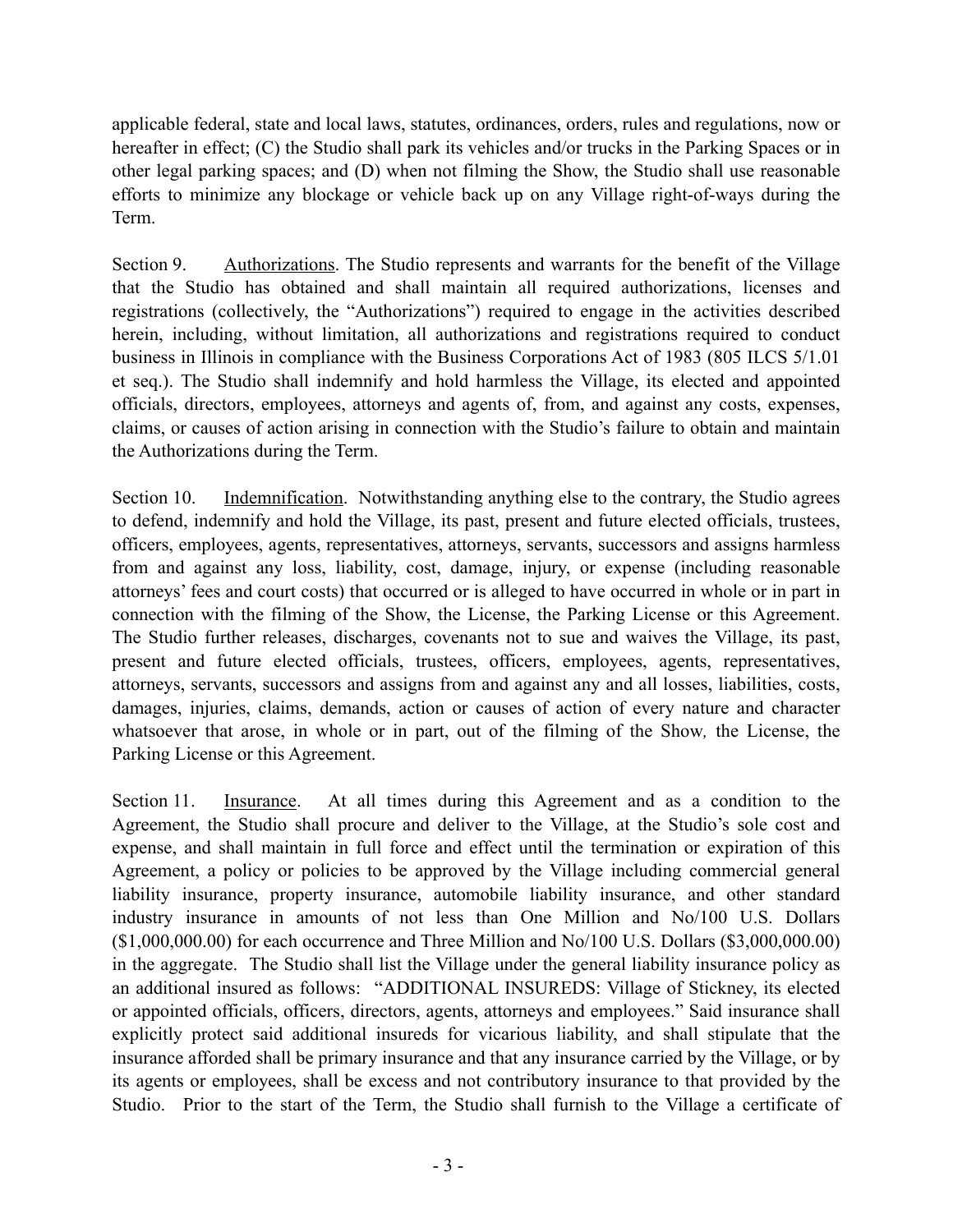applicable federal, state and local laws, statutes, ordinances, orders, rules and regulations, now or hereafter in effect; (C) the Studio shall park its vehicles and/or trucks in the Parking Spaces or in other legal parking spaces; and (D) when not filming the Show, the Studio shall use reasonable efforts to minimize any blockage or vehicle back up on any Village right-of-ways during the Term.

Section 9. Authorizations. The Studio represents and warrants for the benefit of the Village that the Studio has obtained and shall maintain all required authorizations, licenses and registrations (collectively, the "Authorizations") required to engage in the activities described herein, including, without limitation, all authorizations and registrations required to conduct business in Illinois in compliance with the Business Corporations Act of 1983 (805 ILCS 5/1.01 et seq.). The Studio shall indemnify and hold harmless the Village, its elected and appointed officials, directors, employees, attorneys and agents of, from, and against any costs, expenses, claims, or causes of action arising in connection with the Studio's failure to obtain and maintain the Authorizations during the Term.

Section 10. Indemnification. Notwithstanding anything else to the contrary, the Studio agrees to defend, indemnify and hold the Village, its past, present and future elected officials, trustees, officers, employees, agents, representatives, attorneys, servants, successors and assigns harmless from and against any loss, liability, cost, damage, injury, or expense (including reasonable attorneys' fees and court costs) that occurred or is alleged to have occurred in whole or in part in connection with the filming of the Show, the License, the Parking License or this Agreement. The Studio further releases, discharges, covenants not to sue and waives the Village, its past, present and future elected officials, trustees, officers, employees, agents, representatives, attorneys, servants, successors and assigns from and against any and all losses, liabilities, costs, damages, injuries, claims, demands, action or causes of action of every nature and character whatsoever that arose, in whole or in part, out of the filming of the Show*,* the License, the Parking License or this Agreement.

Section 11. Insurance. At all times during this Agreement and as a condition to the Agreement, the Studio shall procure and deliver to the Village, at the Studio's sole cost and expense, and shall maintain in full force and effect until the termination or expiration of this Agreement, a policy or policies to be approved by the Village including commercial general liability insurance, property insurance, automobile liability insurance, and other standard industry insurance in amounts of not less than One Million and No/100 U.S. Dollars (\$1,000,000.00) for each occurrence and Three Million and No/100 U.S. Dollars (\$3,000,000.00) in the aggregate. The Studio shall list the Village under the general liability insurance policy as an additional insured as follows: "ADDITIONAL INSUREDS: Village of Stickney, its elected or appointed officials, officers, directors, agents, attorneys and employees." Said insurance shall explicitly protect said additional insureds for vicarious liability, and shall stipulate that the insurance afforded shall be primary insurance and that any insurance carried by the Village, or by its agents or employees, shall be excess and not contributory insurance to that provided by the Studio. Prior to the start of the Term, the Studio shall furnish to the Village a certificate of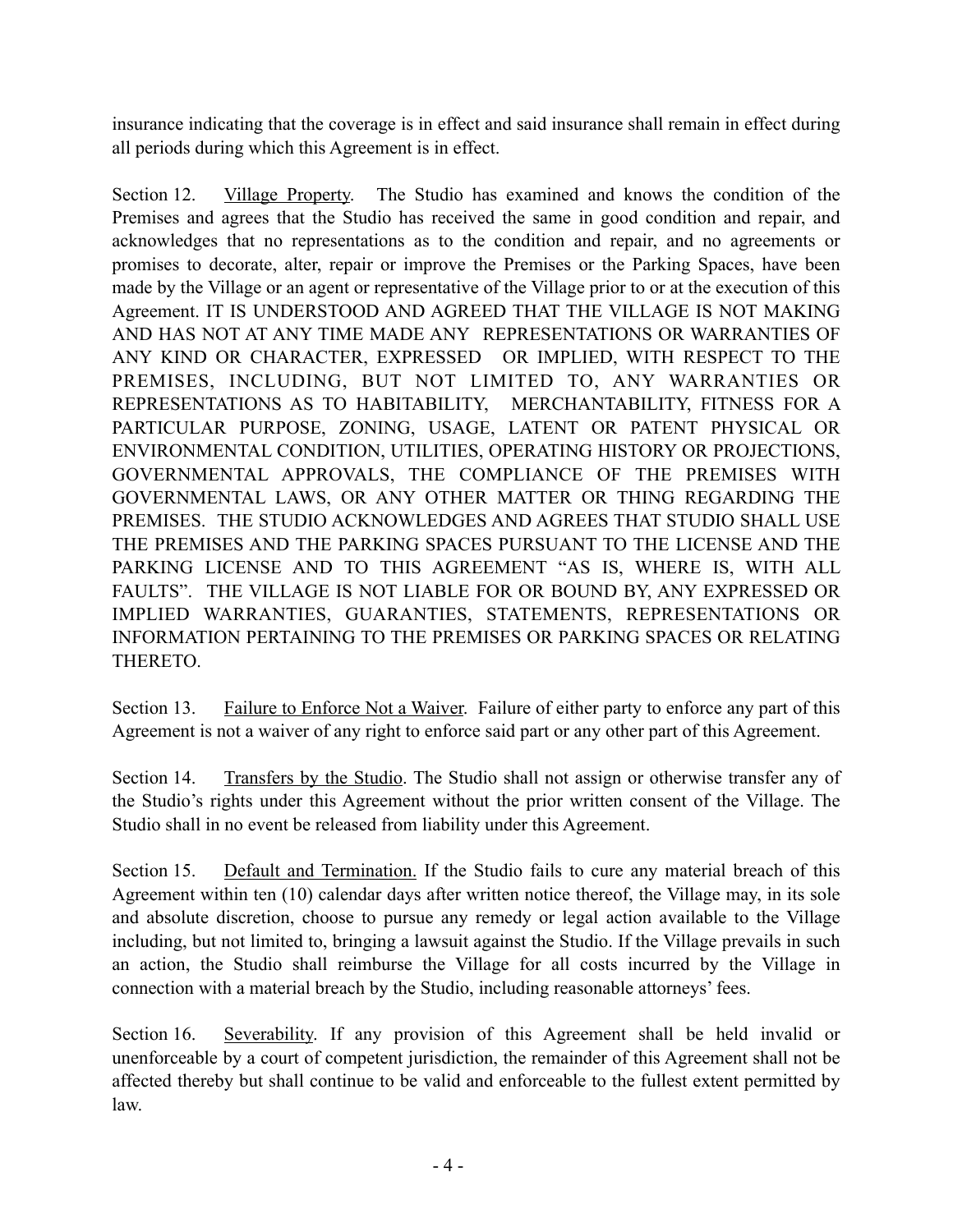insurance indicating that the coverage is in effect and said insurance shall remain in effect during all periods during which this Agreement is in effect.

Section 12. Village Property. The Studio has examined and knows the condition of the Premises and agrees that the Studio has received the same in good condition and repair, and acknowledges that no representations as to the condition and repair, and no agreements or promises to decorate, alter, repair or improve the Premises or the Parking Spaces, have been made by the Village or an agent or representative of the Village prior to or at the execution of this Agreement. IT IS UNDERSTOOD AND AGREED THAT THE VILLAGE IS NOT MAKING AND HAS NOT AT ANY TIME MADE ANY REPRESENTATIONS OR WARRANTIES OF ANY KIND OR CHARACTER, EXPRESSED OR IMPLIED, WITH RESPECT TO THE PREMISES, INCLUDING, BUT NOT LIMITED TO, ANY WARRANTIES OR REPRESENTATIONS AS TO HABITABILITY, MERCHANTABILITY, FITNESS FOR A PARTICULAR PURPOSE, ZONING, USAGE, LATENT OR PATENT PHYSICAL OR ENVIRONMENTAL CONDITION, UTILITIES, OPERATING HISTORY OR PROJECTIONS, GOVERNMENTAL APPROVALS, THE COMPLIANCE OF THE PREMISES WITH GOVERNMENTAL LAWS, OR ANY OTHER MATTER OR THING REGARDING THE PREMISES. THE STUDIO ACKNOWLEDGES AND AGREES THAT STUDIO SHALL USE THE PREMISES AND THE PARKING SPACES PURSUANT TO THE LICENSE AND THE PARKING LICENSE AND TO THIS AGREEMENT "AS IS, WHERE IS, WITH ALL FAULTS". THE VILLAGE IS NOT LIABLE FOR OR BOUND BY, ANY EXPRESSED OR IMPLIED WARRANTIES, GUARANTIES, STATEMENTS, REPRESENTATIONS OR INFORMATION PERTAINING TO THE PREMISES OR PARKING SPACES OR RELATING THERETO.

Section 13. Failure to Enforce Not a Waiver. Failure of either party to enforce any part of this Agreement is not a waiver of any right to enforce said part or any other part of this Agreement.

Section 14. Transfers by the Studio. The Studio shall not assign or otherwise transfer any of the Studio's rights under this Agreement without the prior written consent of the Village. The Studio shall in no event be released from liability under this Agreement.

Section 15. Default and Termination. If the Studio fails to cure any material breach of this Agreement within ten (10) calendar days after written notice thereof, the Village may, in its sole and absolute discretion, choose to pursue any remedy or legal action available to the Village including, but not limited to, bringing a lawsuit against the Studio. If the Village prevails in such an action, the Studio shall reimburse the Village for all costs incurred by the Village in connection with a material breach by the Studio, including reasonable attorneys' fees.

Section 16. Severability. If any provision of this Agreement shall be held invalid or unenforceable by a court of competent jurisdiction, the remainder of this Agreement shall not be affected thereby but shall continue to be valid and enforceable to the fullest extent permitted by law.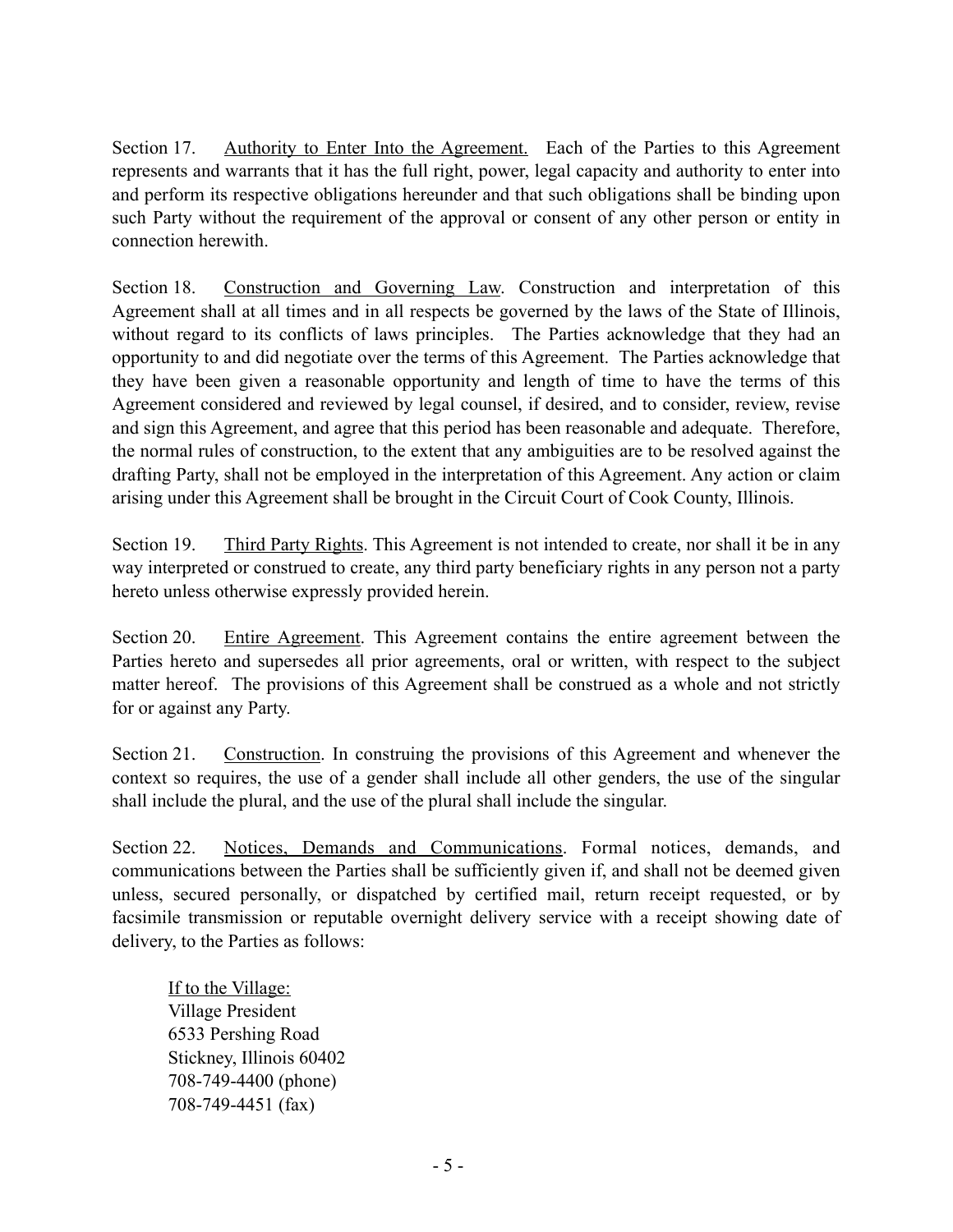Section 17. Authority to Enter Into the Agreement. Each of the Parties to this Agreement represents and warrants that it has the full right, power, legal capacity and authority to enter into and perform its respective obligations hereunder and that such obligations shall be binding upon such Party without the requirement of the approval or consent of any other person or entity in connection herewith.

Section 18. Construction and Governing Law. Construction and interpretation of this Agreement shall at all times and in all respects be governed by the laws of the State of Illinois, without regard to its conflicts of laws principles. The Parties acknowledge that they had an opportunity to and did negotiate over the terms of this Agreement. The Parties acknowledge that they have been given a reasonable opportunity and length of time to have the terms of this Agreement considered and reviewed by legal counsel, if desired, and to consider, review, revise and sign this Agreement, and agree that this period has been reasonable and adequate. Therefore, the normal rules of construction, to the extent that any ambiguities are to be resolved against the drafting Party, shall not be employed in the interpretation of this Agreement. Any action or claim arising under this Agreement shall be brought in the Circuit Court of Cook County, Illinois.

Section 19. Third Party Rights. This Agreement is not intended to create, nor shall it be in any way interpreted or construed to create, any third party beneficiary rights in any person not a party hereto unless otherwise expressly provided herein.

Section 20. Entire Agreement. This Agreement contains the entire agreement between the Parties hereto and supersedes all prior agreements, oral or written, with respect to the subject matter hereof. The provisions of this Agreement shall be construed as a whole and not strictly for or against any Party.

Section 21. Construction. In construing the provisions of this Agreement and whenever the context so requires, the use of a gender shall include all other genders, the use of the singular shall include the plural, and the use of the plural shall include the singular.

Section 22. Notices, Demands and Communications. Formal notices, demands, and communications between the Parties shall be sufficiently given if, and shall not be deemed given unless, secured personally, or dispatched by certified mail, return receipt requested, or by facsimile transmission or reputable overnight delivery service with a receipt showing date of delivery, to the Parties as follows:

If to the Village: Village President 6533 Pershing Road Stickney, Illinois 60402 708-749-4400 (phone) 708-749-4451 (fax)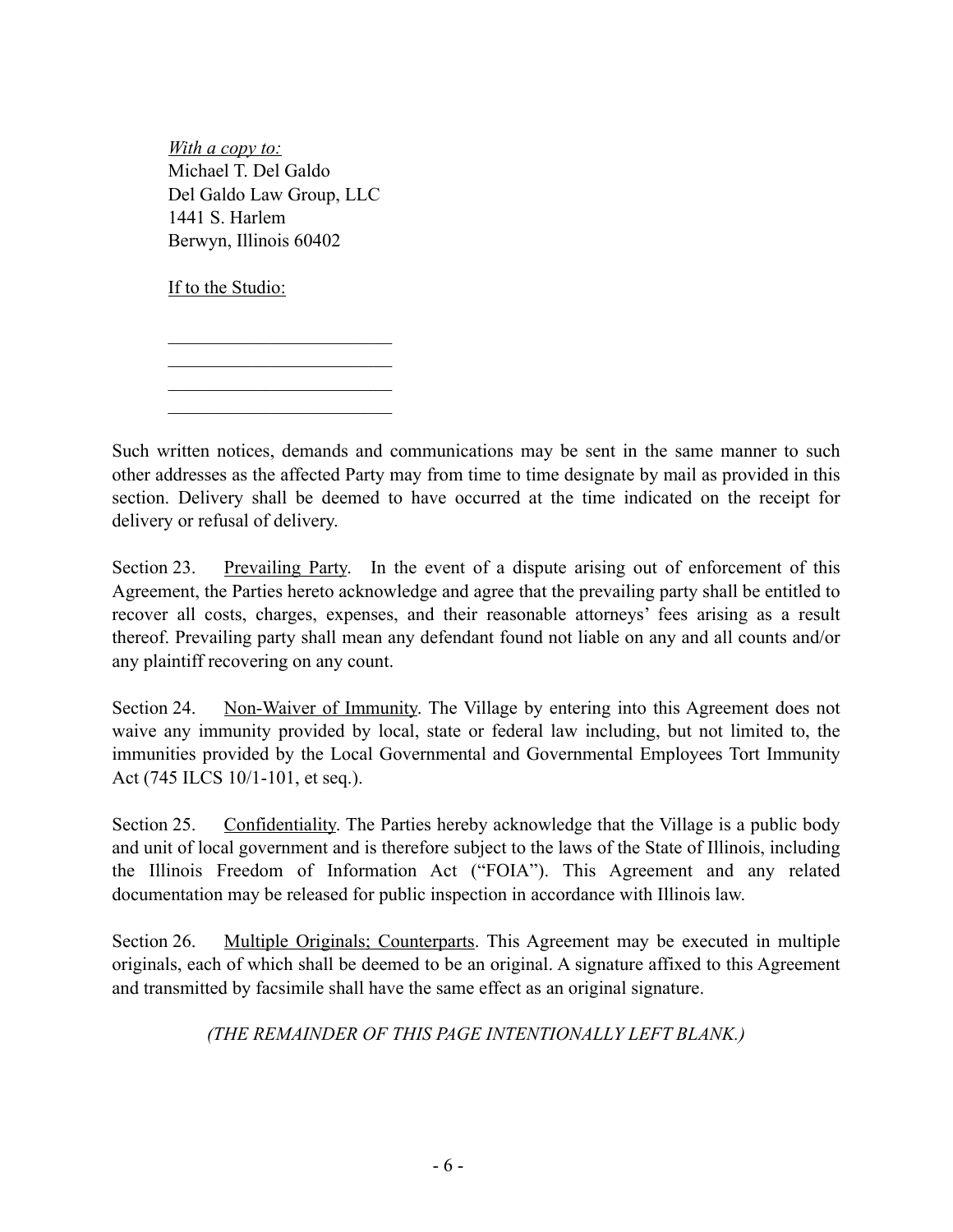*With a copy to:*  Michael T. Del Galdo Del Galdo Law Group, LLC 1441 S. Harlem Berwyn, Illinois 60402

 $\mathcal{L}_\text{max}$  $\mathcal{L}_\text{max}$  $\mathcal{L}_\text{max}$  $\mathcal{L}_\text{max}$ 

If to the Studio:

Such written notices, demands and communications may be sent in the same manner to such other addresses as the affected Party may from time to time designate by mail as provided in this section. Delivery shall be deemed to have occurred at the time indicated on the receipt for delivery or refusal of delivery.

Section 23. Prevailing Party. In the event of a dispute arising out of enforcement of this Agreement, the Parties hereto acknowledge and agree that the prevailing party shall be entitled to recover all costs, charges, expenses, and their reasonable attorneys' fees arising as a result thereof. Prevailing party shall mean any defendant found not liable on any and all counts and/or any plaintiff recovering on any count.

Section 24. Non-Waiver of Immunity. The Village by entering into this Agreement does not waive any immunity provided by local, state or federal law including, but not limited to, the immunities provided by the Local Governmental and Governmental Employees Tort Immunity Act (745 ILCS 10/1-101, et seq.).

Section 25. Confidentiality. The Parties hereby acknowledge that the Village is a public body and unit of local government and is therefore subject to the laws of the State of Illinois, including the Illinois Freedom of Information Act ("FOIA"). This Agreement and any related documentation may be released for public inspection in accordance with Illinois law.

Section 26. Multiple Originals; Counterparts. This Agreement may be executed in multiple originals, each of which shall be deemed to be an original. A signature affixed to this Agreement and transmitted by facsimile shall have the same effect as an original signature.

## *(THE REMAINDER OF THIS PAGE INTENTIONALLY LEFT BLANK.)*